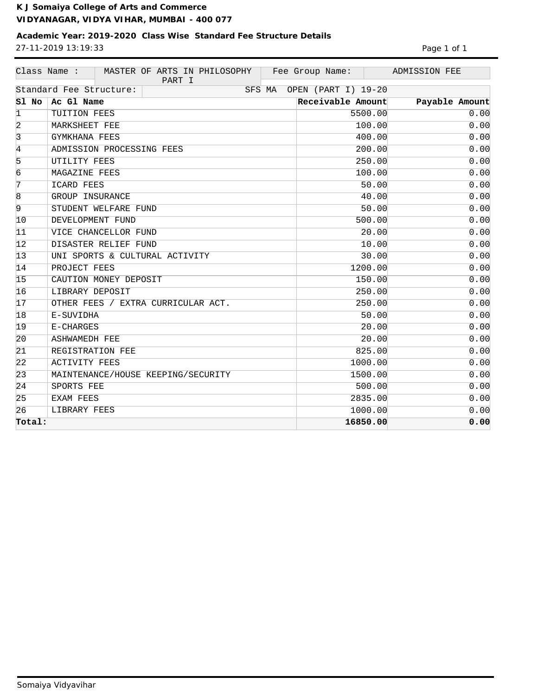## **Academic Year: 2019-2020 Class Wise Standard Fee Structure Details** 27-11-2019 13:19:33 Page 1 of 1

|                 | Class Name :<br>MASTER OF ARTS IN PHILOSOPHY<br>PART I | Fee Group Name:     |          | ADMISSION FEE  |
|-----------------|--------------------------------------------------------|---------------------|----------|----------------|
|                 | Standard Fee Structure:<br>SFS MA                      | OPEN (PART I) 19-20 |          |                |
| Sl No           | Ac Gl Name                                             | Receivable Amount   |          | Payable Amount |
| $\mathbf 1$     | TUITION FEES                                           |                     | 5500.00  | 0.00           |
| 2               | MARKSHEET FEE                                          |                     | 100.00   | 0.00           |
| $\overline{3}$  | GYMKHANA FEES                                          |                     | 400.00   | 0.00           |
| 4               | ADMISSION PROCESSING FEES                              |                     | 200.00   | 0.00           |
| 5               | UTILITY FEES                                           |                     | 250.00   | 0.00           |
| 6               | MAGAZINE FEES                                          |                     | 100.00   | 0.00           |
| 7               | ICARD FEES                                             |                     | 50.00    | 0.00           |
| $\overline{8}$  | GROUP INSURANCE                                        |                     | 40.00    | 0.00           |
| 9               | STUDENT WELFARE FUND                                   |                     | 50.00    | 0.00           |
| 10              | DEVELOPMENT FUND                                       |                     | 500.00   | 0.00           |
| 11              | VICE CHANCELLOR FUND                                   |                     | 20.00    | 0.00           |
| 12              | DISASTER RELIEF FUND                                   |                     | 10.00    | 0.00           |
| $\overline{13}$ | UNI SPORTS & CULTURAL ACTIVITY                         |                     | 30.00    | 0.00           |
| 14              | PROJECT FEES                                           |                     | 1200.00  | 0.00           |
| 15              | CAUTION MONEY DEPOSIT                                  |                     | 150.00   | 0.00           |
| 16              | LIBRARY DEPOSIT                                        |                     | 250.00   | 0.00           |
| 17              | OTHER FEES / EXTRA CURRICULAR ACT.                     |                     | 250.00   | 0.00           |
| 18              | E-SUVIDHA                                              |                     | 50.00    | 0.00           |
| 19              | E-CHARGES                                              |                     | 20.00    | 0.00           |
| 20              | <b>ASHWAMEDH FEE</b>                                   |                     | 20.00    | 0.00           |
| 21              | REGISTRATION FEE                                       |                     | 825.00   | 0.00           |
| 22              | <b>ACTIVITY FEES</b>                                   |                     | 1000.00  | 0.00           |
| $\overline{23}$ | MAINTENANCE/HOUSE KEEPING/SECURITY                     |                     | 1500.00  | 0.00           |
| 24              | SPORTS FEE                                             |                     | 500.00   | 0.00           |
| 25              | EXAM FEES                                              |                     | 2835.00  | 0.00           |
| 26              | LIBRARY FEES                                           |                     | 1000.00  | 0.00           |
| Total:          |                                                        |                     | 16850.00 | 0.00           |